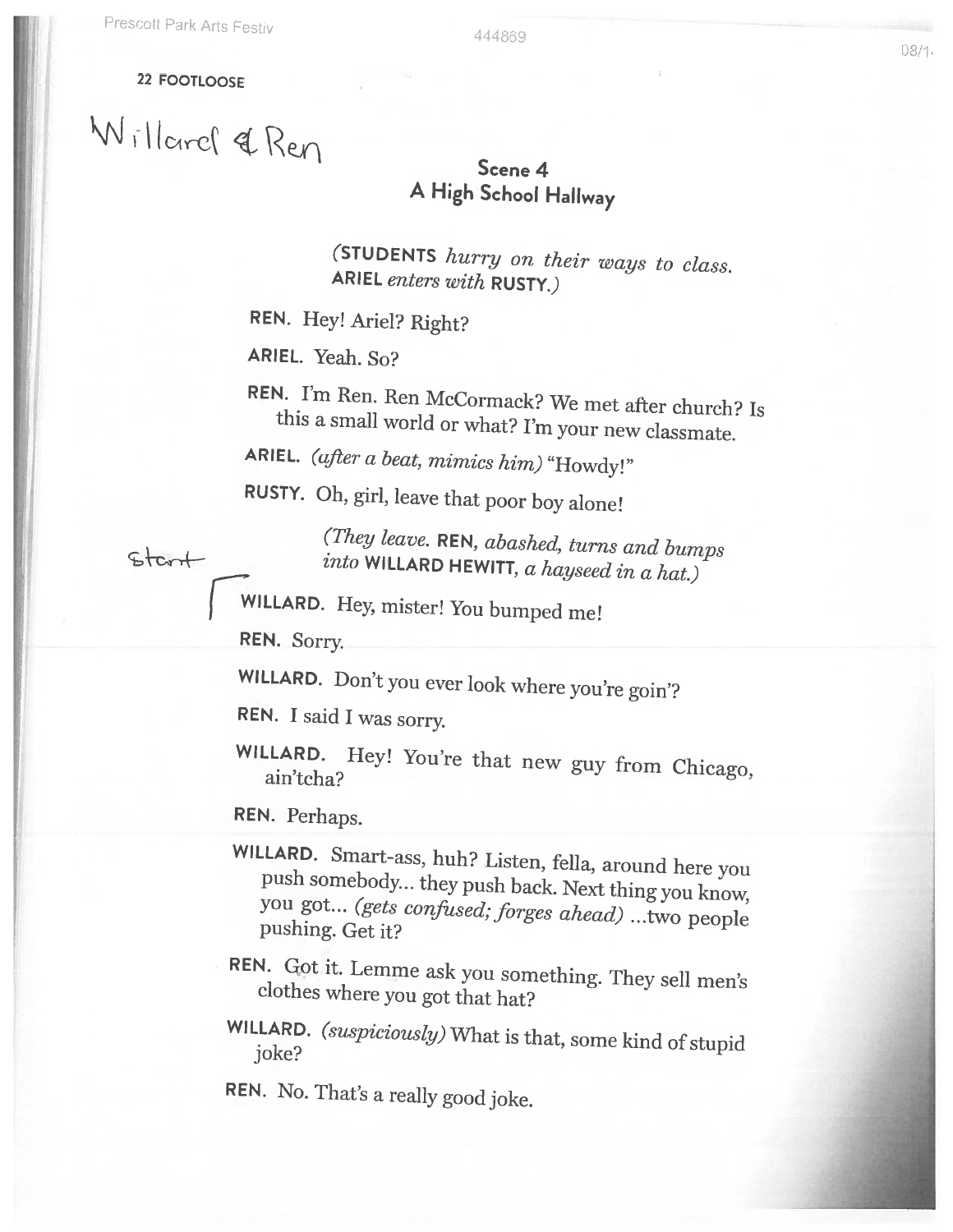## 22 FOOTLOOSE

start

Willard & Ren

## Scene 4 <sup>A</sup> High School Hallway

(STUDENTS hurry on their ways to class. ARIEL enters with RUSTY.)

REN. Hey! Ariel? Right?

ARIEL. Yeah. So?

REN. I'm Ren. Ren McCormack? We met after church? Is this <sup>a</sup> small world or what? I'm your new classmate.

ARIEL. (after a beat, mimics him) "Howdy!"

RUSTY. Oh, girl, leave that poor boy alone!

(They leave. REN, abashed, turns and bumps into WILLARD HEWITT, a hayseed in a hat.)

EWILLARD. Hey, mister! You bumped me!

REN. Sorry.

WILLARD. Don't you ever look where you're goin'?

REN. <sup>I</sup> said <sup>I</sup> was sorry.

WILLARD. Hey! You're that new guy from Chicago, ain'tcha?

REN. Perhaps.

- WILLARD. Smart-ass, huh? Listen, fella, around here you push somebody... they push back. Next thing you know, you got... (*gets confused; forges ahead*) ...two people pushing. Get it?
- REN. Got it. Lemme ask you something. They sell men's clothes where you got that hat?
- WILLARD. (suspiciously) What is that, some kind of stupid joke?

REN. No. That's <sup>a</sup> really good joke.